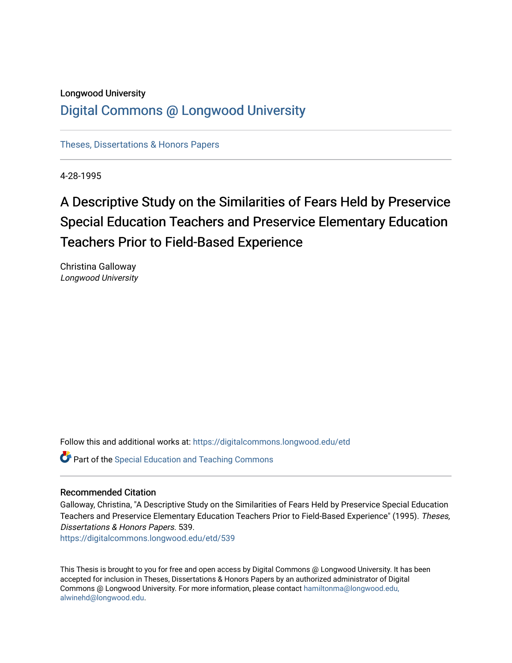# Longwood University [Digital Commons @ Longwood University](https://digitalcommons.longwood.edu/)

[Theses, Dissertations & Honors Papers](https://digitalcommons.longwood.edu/etd) 

4-28-1995

# A Descriptive Study on the Similarities of Fears Held by Preservice Special Education Teachers and Preservice Elementary Education Teachers Prior to Field-Based Experience

Christina Galloway Longwood University

Follow this and additional works at: [https://digitalcommons.longwood.edu/etd](https://digitalcommons.longwood.edu/etd?utm_source=digitalcommons.longwood.edu%2Fetd%2F539&utm_medium=PDF&utm_campaign=PDFCoverPages)

**Part of the Special Education and Teaching Commons** 

#### Recommended Citation

Galloway, Christina, "A Descriptive Study on the Similarities of Fears Held by Preservice Special Education Teachers and Preservice Elementary Education Teachers Prior to Field-Based Experience" (1995). Theses, Dissertations & Honors Papers. 539.

[https://digitalcommons.longwood.edu/etd/539](https://digitalcommons.longwood.edu/etd/539?utm_source=digitalcommons.longwood.edu%2Fetd%2F539&utm_medium=PDF&utm_campaign=PDFCoverPages)

This Thesis is brought to you for free and open access by Digital Commons @ Longwood University. It has been accepted for inclusion in Theses, Dissertations & Honors Papers by an authorized administrator of Digital Commons @ Longwood University. For more information, please contact [hamiltonma@longwood.edu,](mailto:hamiltonma@longwood.edu,%20alwinehd@longwood.edu)  [alwinehd@longwood.edu](mailto:hamiltonma@longwood.edu,%20alwinehd@longwood.edu).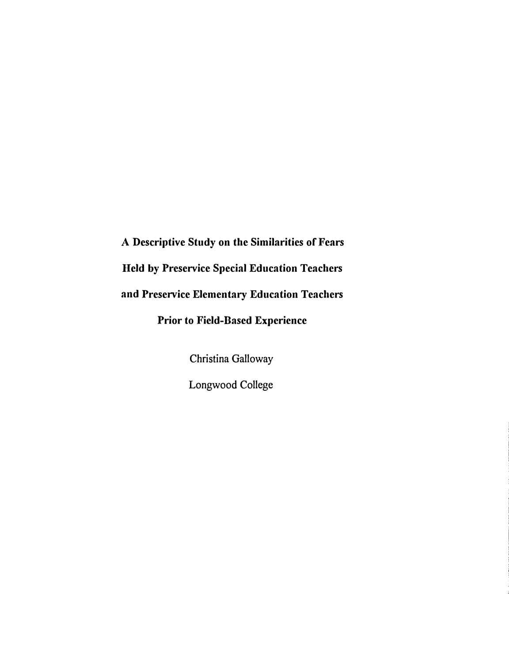**A Descriptive Study on the Similarities of Fears Held by Preservice Special Education Teachers and Preservice Elementary Education Teachers Prior to Field-Based Experience** 

Christina Galloway

Longwood College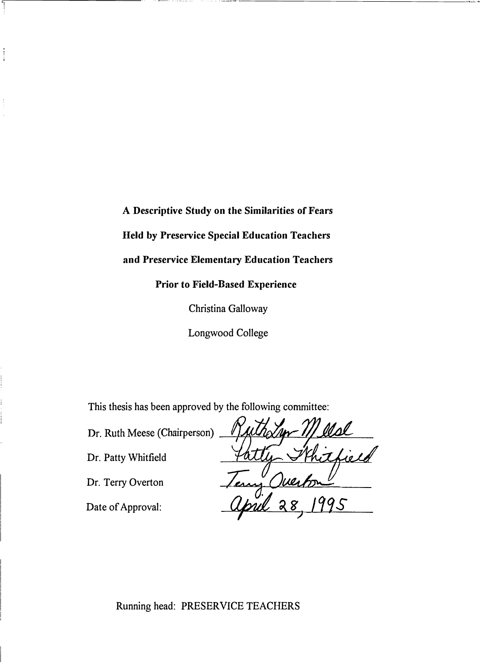**A Descriptive Study on the Similarities of Fears** 

**Held by Preservice Special Education Teachers** 

**and Preservice Elementary Education Teachers** 

**Prior to Field-Based Experience** 

Christina Galloway

Longwood College

This thesis has been approved by the following committee:

Dr. Ruth Meese (Chairperson)

Dr. Patty Whitfield

Dr. Terry Overton

Date of Approval:

95

Running head: PRESERVICE TEACHERS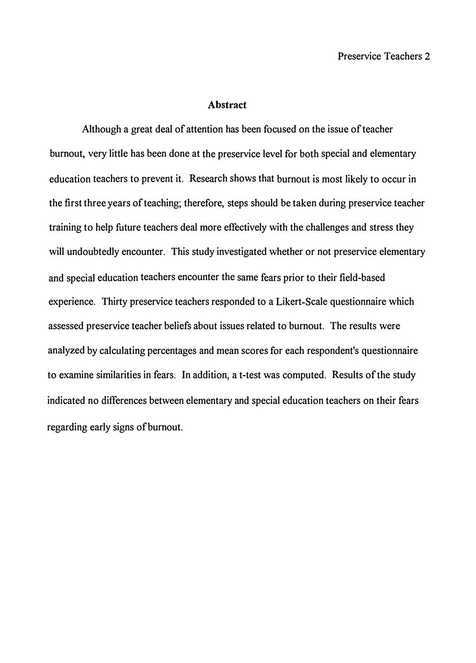#### **Abstract**

Although a great deal of attention has been focused on the issue of teacher burnout, very little has been done at the preservice level for both special and elementary education teachers to prevent it. Research shows that burnout is most likely to occur in the first three years of teaching; therefore, steps should be taken during preservice teacher training to help future teachers deal more effectively with the challenges and stress they will undoubtedly encounter. This study investigated whether or not preservice elementary and special education teachers encounter the same fears prior to their field-based experience. Thirty preservice teachers responded to a Likert-Scale questionnaire which assessed preservice teacher beliefs about issues related to burnout. The results were analyzed by calculating percentages and mean scores for each respondent's questionnaire to examine similarities in fears. In addition, a t-test was computed. Results of the study indicated no differences between elementary and special education teachers on their fears regarding early signs of burnout.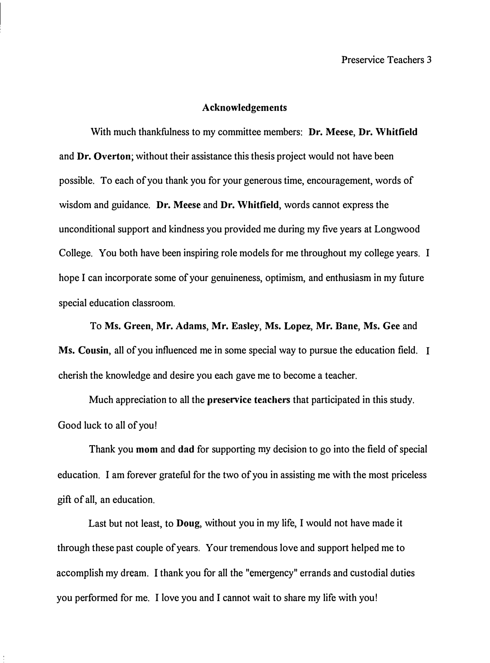#### **Acknowledgements**

With much thankfulness to my committee members: **Dr. Meese, Dr. Whitfield**  and **Dr. Overton;** without their assistance this thesis project would not have been possible. To each of you thank you for your generous time, encouragement, words of wisdom and guidance. **Dr. Meese** and **Dr. Whitfield,** words cannot express the unconditional support and kindness you provided me during my five years at Longwood College. You both have been inspiring role models for me throughout my college years. I hope I can incorporate some of your genuineness, optimism, and enthusiasm in my future special education classroom.

To **Ms. Green, Mr. Adams, Mr. Easley, Ms. Lopez, Mr. Bane, Ms. Gee** and **Ms. Cousin,** all of you influenced me in some special way to pursue the education field. I cherish the knowledge and desire you each gave me to become a teacher.

Much appreciation to all the **preservice teachers** that participated in this study. Good luck to all of you!

Thank you **mom** and **dad** for supporting my decision to go into the field of special education. I am forever grateful for the two of you in assisting me with the most priceless gift of all, an education.

Last but not least, to **Doug,** without you in my life, I would not have made it through these past couple of years. Your tremendous love and support helped me to accomplish my dream. I thank you for all the "emergency" errands and custodial duties you performed for me. I love you and I cannot wait to share my life with you!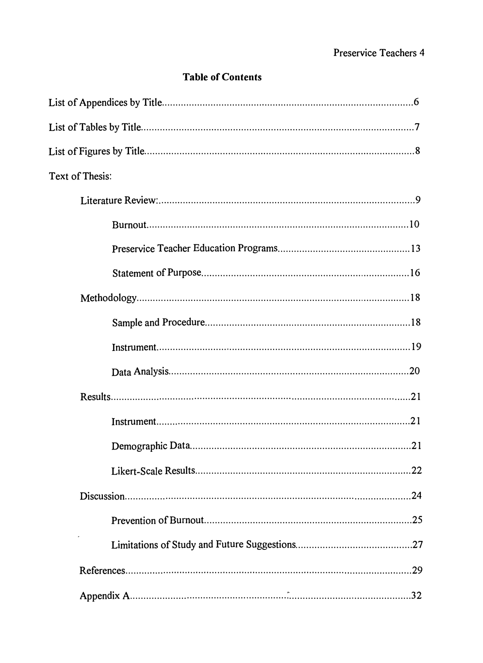## **Table of Contents**

| <b>Text of Thesis:</b> |
|------------------------|
|                        |
|                        |
|                        |
|                        |
|                        |
|                        |
|                        |
|                        |
|                        |
|                        |
|                        |
|                        |
| .24                    |
|                        |
|                        |
|                        |
|                        |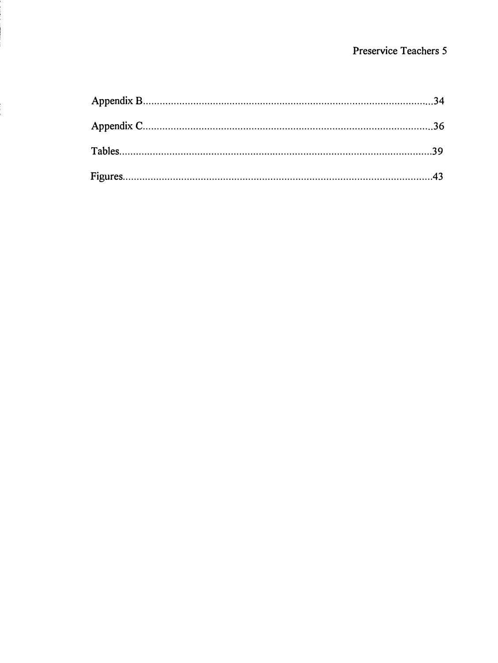## Preservice Teachers 5

 $\vdots$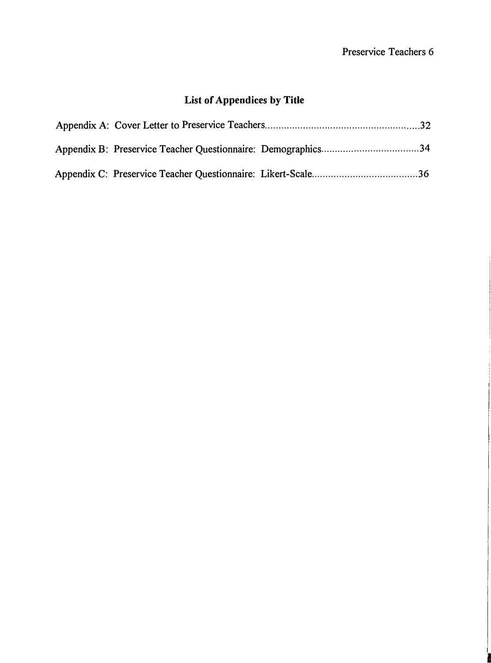# **List of Appendices by Title**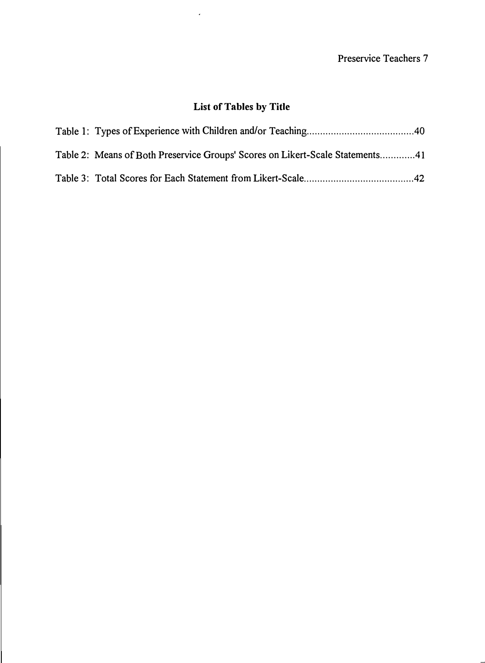# **List of Tables by Title**

 $\sim 10^{-1}$ 

| Table 2: Means of Both Preservice Groups' Scores on Likert-Scale Statements41 |  |
|-------------------------------------------------------------------------------|--|
|                                                                               |  |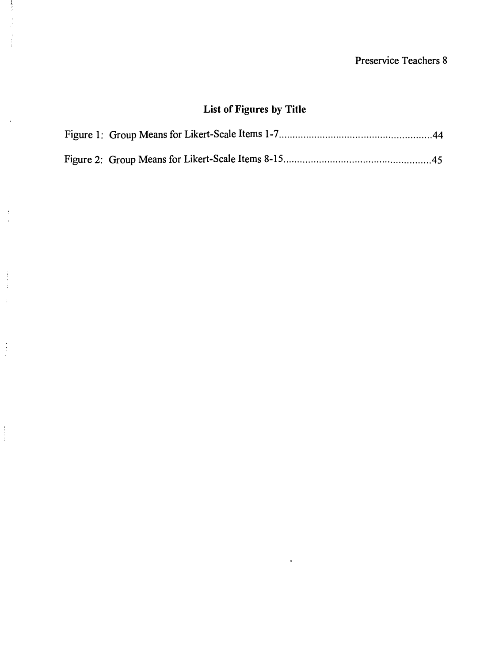## **List of Figures by Title**

 $\label{eq:4} \begin{array}{cccccccccc} \mathcal{L}_{\mathcal{A}} & \mathcal{L}_{\mathcal{A}} & \mathcal{L}_{\mathcal{A}} & \mathcal{L}_{\mathcal{A}} \\ \mathcal{L}_{\mathcal{A}} & \mathcal{L}_{\mathcal{A}} & \mathcal{L}_{\mathcal{A}} & \mathcal{L}_{\mathcal{A}} & \mathcal{L}_{\mathcal{A}} \\ \mathcal{L}_{\mathcal{A}} & \mathcal{L}_{\mathcal{A}} & \mathcal{L}_{\mathcal{A}} & \mathcal{L}_{\mathcal{A}} & \mathcal{L}_{\mathcal{A}} \\ \mathcal{L}_{\mathcal{A}} & \mathcal{L}_{\mathcal$ 

 $\hat{f}$ 

i<br>Li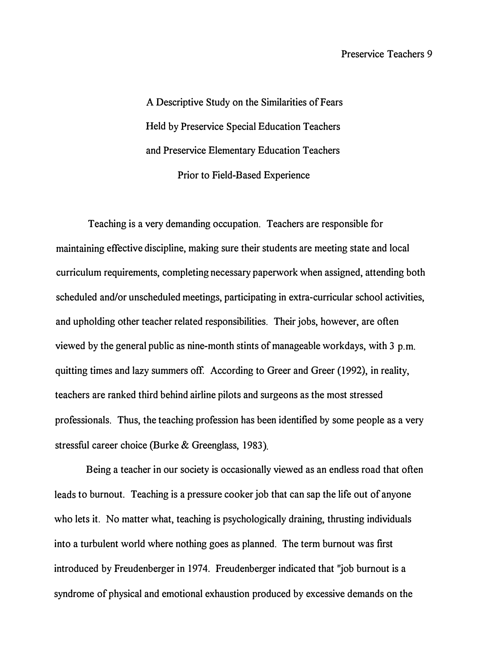A Descriptive Study on the Similarities of Fears Held by Preservice Special Education Teachers and Preservice Elementary Education Teachers Prior to Field-Based Experience

Teaching is a very demanding occupation. Teachers are responsible for maintaining effective discipline, making sure their students are meeting state and local curriculum requirements, completing necessary paperwork when assigned, attending both scheduled and/or unscheduled meetings, participating in extra-curricular school activities, and upholding other teacher related responsibilities. Their jobs, however, are often viewed by the general public as nine-month stints of manageable workdays, with 3 p.m. quitting times and lazy summers off. According to Greer and Greer (1992), in reality, teachers are ranked third behind airline pilots and surgeons as the most stressed professionals. Thus, the teaching profession has been identified by some people as a very stressful career choice (Burke & Greenglass, 1983).

Being a teacher in our society is occasionally viewed as an endless road that often leads to burnout. Teaching is a pressure cooker job that can sap the life out of anyone who lets it. No matter what, teaching is psychologically draining, thrusting individuals into a turbulent world where nothing goes as planned. The term burnout was first introduced by Freudenberger in 1974. Freudenberger indicated that "job burnout is a syndrome of physical and emotional exhaustion produced by excessive demands on the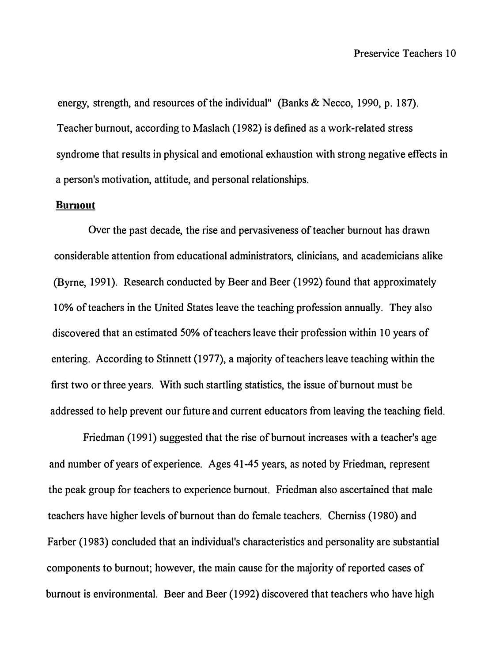energy, strength, and resources of the individual" (Banks & Necco, 1990, p. 187). Teacher burnout, according to Maslach (1982) is defined as a work-related stress syndrome that results in physical and emotional exhaustion with strong negative effects in a person's motivation, attitude, and personal relationships.

#### **Burnout**

Over the past decade, the rise and pervasiveness of teacher burnout has drawn considerable attention from educational administrators, clinicians, and academicians alike (Byrne, 1991). Research conducted by Beer and Beer (1992) found that approximately 10% of teachers in the United States leave the teaching profession annually. They also discovered that an estimated 50% of teachers leave their profession within 10 years of entering. According to Stinnett (1977), a majority of teachers leave teaching within the first two or three years. With such startling statistics, the issue of burnout must be addressed to help prevent our future and current educators from leaving the teaching field.

Friedman (1991) suggested that the rise of burnout increases with a teacher's age and number of years of experience. Ages 41-45 years, as noted by Friedman, represent the peak group for teachers to experience burnout. Friedman also ascertained that male teachers have higher levels of burnout than do female teachers. Cherniss (1980) and Farber (1983) concluded that an individual's characteristics and personality are substantial components to burnout; however, the main cause for the majority of reported cases of burnout is environmental. Beer and Beer (1992) discovered that teachers who have high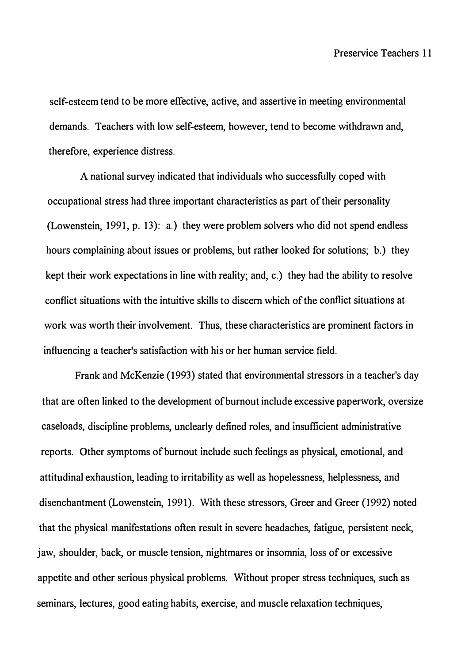self-esteem tend to be more effective, active, and assertive in meeting environmental demands. Teachers with low self-esteem, however, tend to become withdrawn and, therefore, experience distress.

A national survey indicated that individuals who successfully coped with occupational stress had three important characteristics as part of their personality (Lowenstein, 1991, p. 13): a.) they were problem solvers who did not spend endless hours complaining about issues or problems, but rather looked for solutions; b.) they kept their work expectations in line with reality; and, c.) they had the ability to resolve conflict situations with the intuitive skills to discern which of the conflict situations at work was worth their involvement. Thus, these characteristics are prominent factors in influencing a teacher's satisfaction with his or her human service field.

Frank and McKenzie (1993) stated that environmental stressors in a teacher's day that are often linked to the development of burnout include excessive paperwork, oversize caseloads, discipline problems, unclearly defined roles, and insufficient administrative reports. Other symptoms of burnout include such feelings as physical, emotional, and attitudinal exhaustion, leading to irritability as well as hopelessness, helplessness, and disenchantment (Lowenstein, 1991). With these stressors, Greer and Greer (1992) noted that the physical manifestations often result in severe headaches, fatigue, persistent neck, jaw, shoulder, back, or muscle tension, nightmares or insomnia, loss of or excessive appetite and other serious physical problems. Without proper stress techniques, such as seminars, lectures, good eating habits, exercise, and muscle relaxation techniques,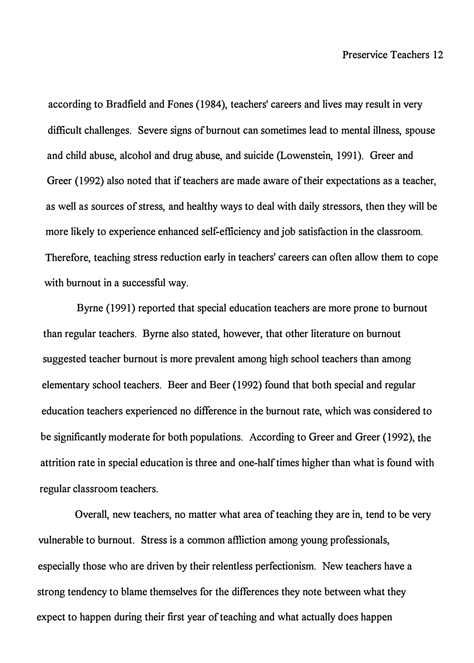according to Bradfield and Fones (1984), teachers' careers and lives may result in very difficult challenges. Severe signs of burnout can sometimes lead to mental illness, spouse and child abuse, alcohol and drug abuse, and suicide (Lowenstein, 1991). Greer and Greer (1992) also noted that if teachers are made aware of their expectations as a teacher, as well as sources of stress, and healthy ways to deal with daily stressors, then they will be more likely to experience enhanced self-efficiency and job satisfaction in the classroom. Therefore, teaching stress reduction early in teachers' careers can often allow them to cope with burnout in a successful way.

Byrne (1991) reported that special education teachers are more prone to burnout than regular teachers. Byrne also stated, however, that other literature on burnout suggested teacher burnout is more prevalent among high school teachers than among elementary school teachers. Beer and Beer (1992) found that both special and regular education teachers experienced no difference in the burnout rate, which was considered to be significantly moderate for both populations. According to Greer and Greer (1992), the attrition rate in special education is three and one-halftimes higher than what is found with regular classroom teachers.

Overall, new teachers, no matter what area of teaching they are in, tend to be very vulnerable to burnout. Stress is a common affiiction among young professionals, especially those who are driven by their relentless perfectionism. New teachers have a strong tendency to blame themselves for the differences they note between what they expect to happen during their first year of teaching and what actually does happen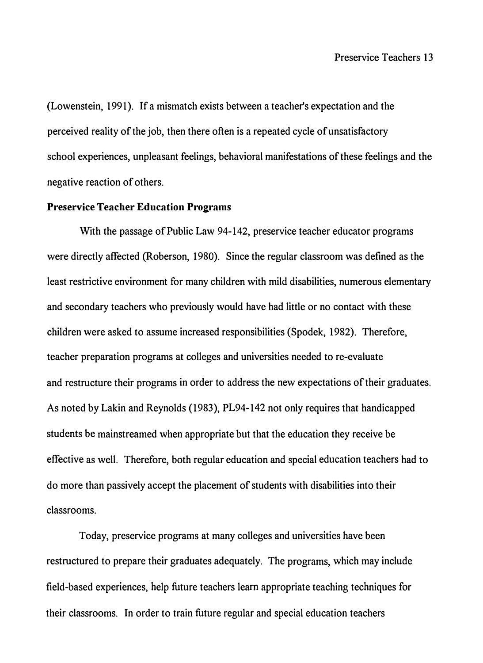(Lowenstein, 1991). If a mismatch exists between a teacher's expectation and the perceived reality of the job, then there often is a repeated cycle of unsatisfactory school experiences, unpleasant feelings, behavioral manifestations of these feelings and the negative reaction of others.

#### **Preservice Teacher Education Programs**

With the passage of Public Law 94-142, preservice teacher educator programs were directly affected (Roberson, 1980). Since the regular classroom was defined as the least restrictive environment for many children with mild disabilities, numerous elementary and secondary teachers who previously would have had little or no contact with these children were asked to assume increased responsibilities (Spodek, 1982). Therefore, teacher preparation programs at colleges and universities needed to re-evaluate and restructure their programs in order to address the new expectations of their graduates. As noted by Lakin and Reynolds (1983), PL94-142 not only requires that handicapped students be mainstreamed when appropriate but that the education they receive be effective as well. Therefore, both regular education and special education teachers had to do more than passively accept the placement of students with disabilities into their classrooms.

Today, preservice programs at many colleges and universities have been restructured to prepare their graduates adequately. The programs, which may include field-based experiences, help future teachers learn appropriate teaching techniques for their classrooms. In order to train future regular and special education teachers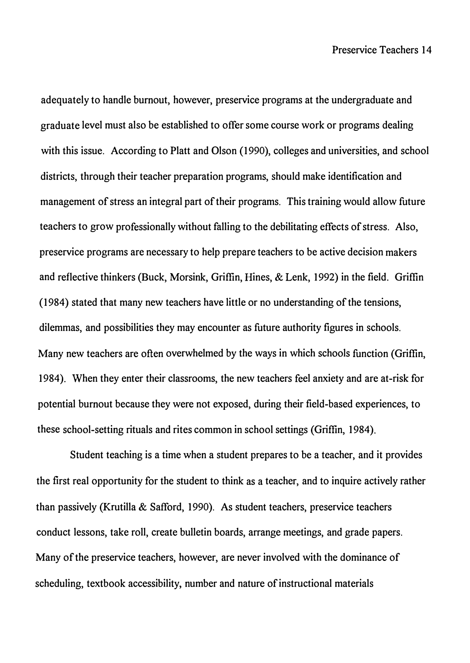adequately to handle burnout, however, preservice programs at the undergraduate and graduate level must also be established to offer some course work or programs dealing with this issue. According to Platt and Olson (1990), colleges and universities, and school districts, through their teacher preparation programs, should make identification and management of stress an integral part of their programs. This training would allow future teachers to grow professionally without falling to the debilitating effects of stress. Also, preservice programs are necessary to help prepare teachers to be active decision makers and reflective thinkers (Buck, Morsink, Griffin, Hines, & Lenk, 1992) in the field. Griffin (1984) stated that many new teachers have little or no understanding of the tensions, dilemmas, and possibilities they may encounter as future authority figures in schools. Many new teachers are often overwhelmed by the ways in which schools function (Griffin, 1984). When they enter their classrooms, the new teachers feel anxiety and are at-risk for potential burnout because they were not exposed, during their field-based experiences, to these school-setting rituals and rites common in school settings (Griffin, 1984).

Student teaching is a time when a student prepares to be a teacher, and it provides the first real opportunity for the student to think as a teacher, and to inquire actively rather than passively (Krutilla & Safford, 1990). As student teachers, preservice teachers conduct lessons, take roll, create bulletin boards, arrange meetings, and grade papers. Many of the preservice teachers, however, are never involved with the dominance of scheduling, textbook accessibility, number and nature of instructional materials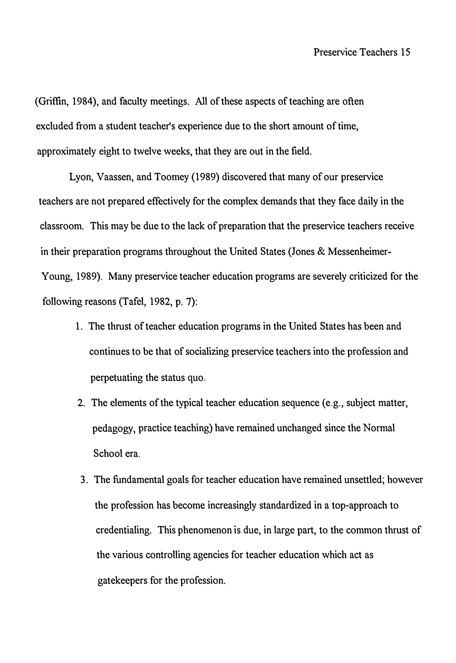(Griffin, 1984), and faculty meetings. All of these aspects of teaching are often excluded from a student teacher's experience due to the short amount of time, approximately eight to twelve weeks, that they are out in the field.

Lyon, Vaassen, and Toomey (1989) discovered that many of our preservice teachers are not prepared effectively for the complex demands that they face daily in the classroom. This may be due to the lack of preparation that the preservice teachers receive in their preparation programs throughout the United States (Jones & Messenheimer-Young, 1989). Many preservice teacher education programs are severely criticized for the following reasons (Tafel, 1982, p. 7):

- 1. The thrust of teacher education programs in the United States has been and continues to be that of socializing preservice teachers into the profession and perpetuating the status quo.
- 2. The elements of the typical teacher education sequence (e.g., subject matter, pedagogy, practice teaching) have remained unchanged since the Normal School era.
- 3. The fundamental goals for teacher education have remained unsettled; however the profession has become increasingly standardized in a top-approach to credentialing. This phenomenon is due, in large part, to the common thrust of the various controlling agencies for teacher education which act as gatekeepers for the profession.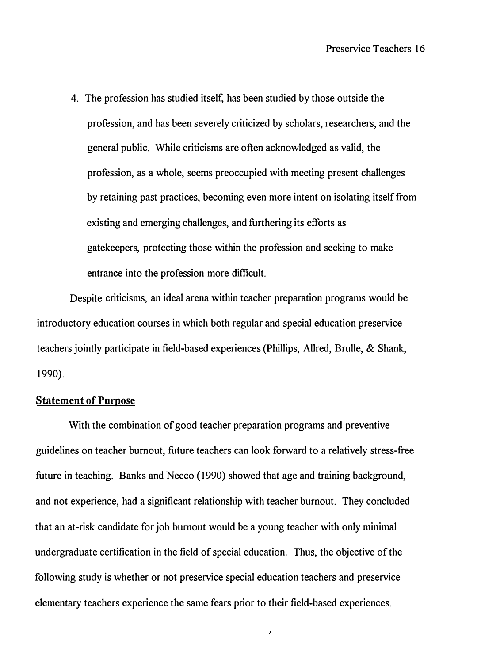4. The profession has studied itself, has been studied by those outside the profession, and has been severely criticized by scholars, researchers, and the general public. While criticisms are often acknowledged as valid, the profession, as a whole, seems preoccupied with meeting present challenges by retaining past practices, becoming even more intent on isolating itself from existing and emerging challenges, and furthering its efforts as gatekeepers, protecting those within the profession and seeking to make entrance into the profession more difficult.

Despite criticisms, an ideal arena within teacher preparation programs would be introductory education courses in which both regular and special education preservice teachers jointly participate in field-based experiences (Phillips, Allred, Brulle, & Shank, 1990).

#### **Statement of Purpose**

With the combination of good teacher preparation programs and preventive guidelines on teacher burnout, future teachers can look forward to a relatively stress-free future in teaching. Banks and Necco (1990) showed that age and training background, and not experience, had a significant relationship with teacher burnout. They concluded that an at-risk candidate for job burnout would be a young teacher with only minimal undergraduate certification in the field of special education. Thus, the objective of the following study is whether or not preservice special education teachers and preservice elementary teachers experience the same fears prior to their field-based experiences.

 $\bar{\mathbf{y}}$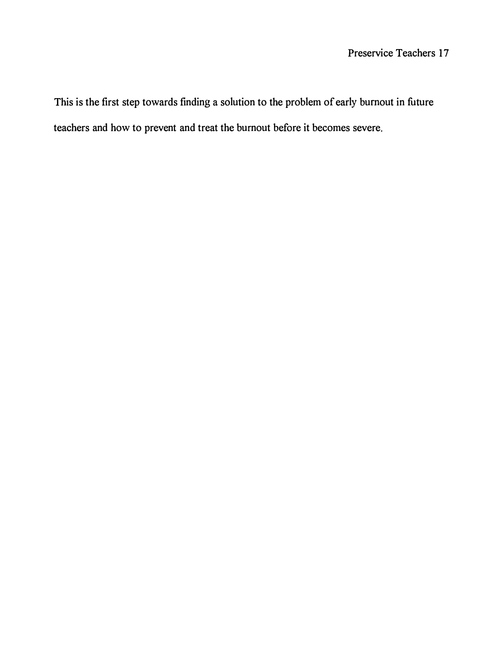This is the first step towards finding a solution to the problem of early burnout in future teachers and how to prevent and treat the burnout before it becomes severe.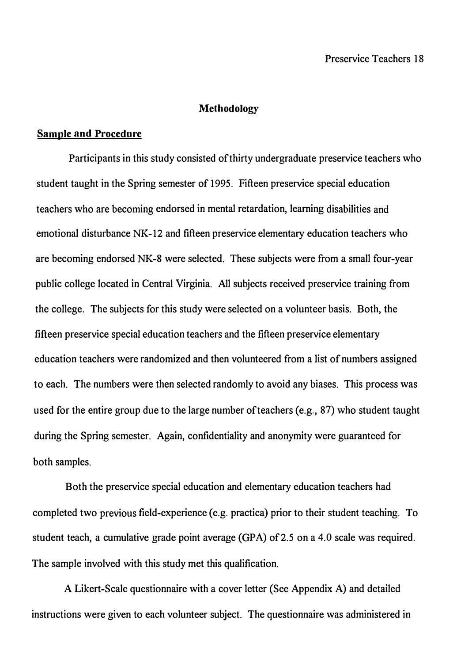#### **Methodology**

#### **Sample and Procedure**

Participants in this study consisted of thirty undergraduate preservice teachers who student taught in the Spring semester of 1995. Fifteen preservice special education teachers who are becoming endorsed in mental retardation, learning disabilities and emotional disturbance NK-12 and fifteen preservice elementary education teachers who are becoming endorsed NK-8 were selected. These subjects were from a small four-year public college located in Central Virginia. All subjects received preservice training from the college. The subjects for this study were selected on a volunteer basis. Both, the fifteen preservice special education teachers and the fifteen preservice elementary education teachers were randomized and then volunteered from a list of numbers assigned to each. The numbers were then selected randomly to avoid any biases. This process was used for the entire group due to the large number of teachers (e.g., 87) who student taught during the Spring semester. Again, confidentiality and anonymity were guaranteed for both samples.

Both the preservice special education and elementary education teachers had completed two previous field-experience (e.g. practica) prior to their student teaching. To student teach, a cumulative grade point average (GPA) of 2.5 on a 4.0 scale was required. The sample involved with this study met this qualification.

A Likert-Scale questionnaire with a cover letter (See Appendix A) and detailed instructions were given to each volunteer subject. The questionnaire was administered in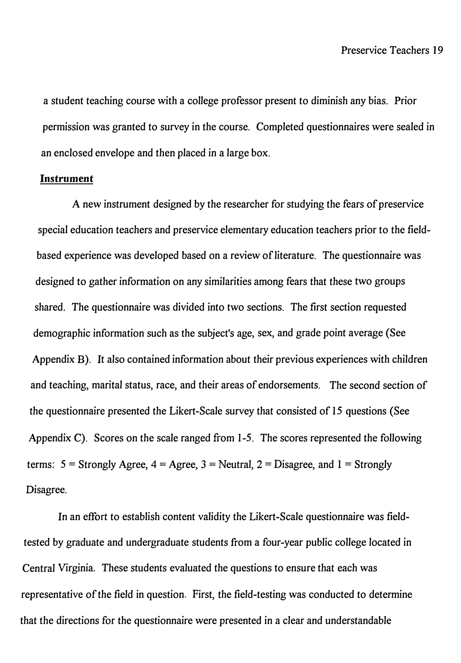a student teaching course with a college professor present to diminish any bias. Prior permission was granted to survey in the course. Completed questionnaires were sealed in an enclosed envelope and then placed in a large box.

#### **Instrument**

A new instrument designed by the researcher for studying the fears of preservice special education teachers and preservice elementary education teachers prior to the fieldbased experience was developed based on a review of literature. The questionnaire was designed to gather information on any similarities among fears that these two groups shared. The questionnaire was divided into two sections. The first section requested demographic information such as the subject's age, sex, and grade point average (See Appendix B). It also contained information about their previous experiences with children and teaching, marital status, race, and their areas of endorsements. The second section of the questionnaire presented the Likert-Scale survey that consisted of 15 questions (See Appendix C). Scores on the scale ranged from 1-5. The scores represented the following terms:  $5 =$  Strongly Agree,  $4 =$  Agree,  $3 =$  Neutral,  $2 =$  Disagree, and  $1 =$  Strongly Disagree.

In an effort to establish content validity the Likert-Scale questionnaire was fieldtested by graduate and undergraduate students from a four-year public college located in Central Virginia. These students evaluated the questions to ensure that each was representative of the field in question. First, the field-testing was conducted to determine that the directions for the questionnaire were presented in a clear and understandable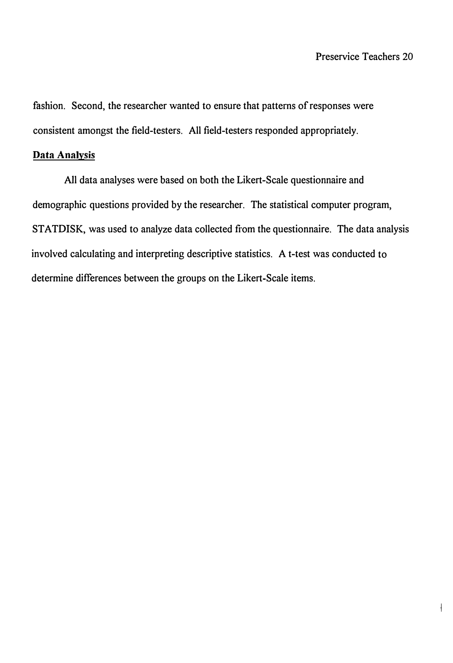$\vert$ 

fashion. Second, the researcher wanted to ensure that patterns of responses were consistent amongst the field-testers. All field-testers responded appropriately.

#### **Data Analysis**

All data analyses were based on both the Likert-Scale questionnaire and demographic questions provided by the researcher. The statistical computer program, STATDISK, was used to analyze data collected from the questionnaire. The data analysis involved calculating and interpreting descriptive statistics. A t-test was conducted to determine differences between the groups on the Likert-Scale items.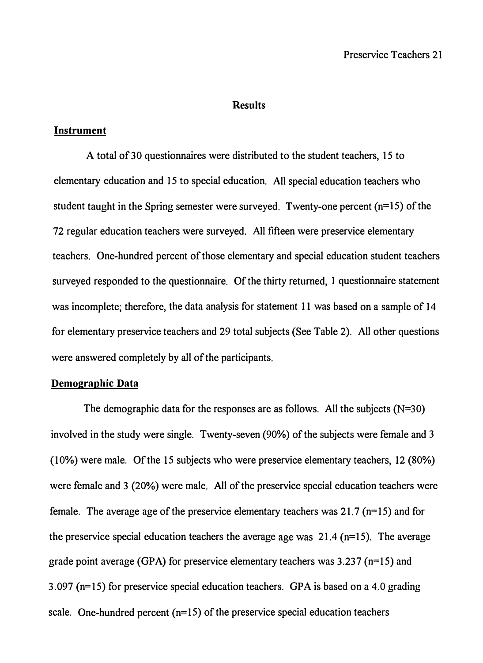#### **Results**

#### **Instrument**

A total of30 questionnaires were distributed to the student teachers, 15 to elementary education and 15 to special education. All special education teachers who student taught in the Spring semester were surveyed. Twenty-one percent (n=l5) of the 72 regular education teachers were surveyed. All fifteen were preservice elementary teachers. One-hundred percent of those elementary and special education student teachers surveyed responded to the questionnaire. Of the thirty returned, 1 questionnaire statement was incomplete; therefore, the data analysis for statement 11 was based on a sample of 14 for elementary preservice teachers and 29 total subjects (See Table 2). All other questions were answered completely by all of the participants.

#### **Demographic Data**

The demographic data for the responses are as follows. All the subjects  $(N=30)$ involved in the study were single. Twenty-seven (90%) of the subjects were female and 3 (10%) were male. Of the 15 subjects who were preservice elementary teachers, 12 (80%) were female and 3 (20%) were male. All of the preservice special education teachers were female. The average age of the preservice elementary teachers was 21.7 (n=15) and for the preservice special education teachers the average age was  $21.4$  (n=15). The average grade point average (GPA) for preservice elementary teachers was  $3.237$  (n=15) and 3.097 (n=15) for preservice special education teachers. GPA is based on a 4.0 grading scale. One-hundred percent  $(n=15)$  of the preservice special education teachers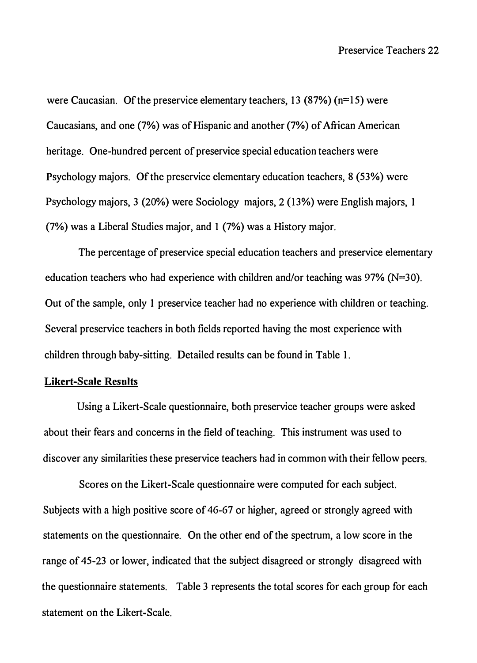were Caucasian. Of the preservice elementary teachers, 13 (87%) ( $n=15$ ) were Caucasians, and one (7%) was of Hispanic and another (7%) of African American heritage. One-hundred percent of preservice special education teachers were Psychology majors. Of the preservice elementary education teachers, 8 (53%) were Psychology majors, 3 (20%) were Sociology majors, 2 (13%) were English majors, 1 (7%) was a Liberal Studies major, and 1 (7%) was a History major.

The percentage of preservice special education teachers and preservice elementary education teachers who had experience with children and/or teaching was 97% (N=30). Out of the sample, only 1 preservice teacher had no experience with children or teaching. Several preservice teachers in both fields reported having the most experience with children through baby-sitting. Detailed results can be found in Table 1.

#### **Likert-Scale Results**

Using a Likert-Scale questionnaire, both preservice teacher groups were asked about their fears and concerns in the field of teaching. This instrument was used to discover any similarities these preservice teachers had in common with their fellow peers.

Scores on the Likert-Scale questionnaire were computed for each subject. Subjects with a high positive score of 46-67 or higher, agreed or strongly agreed with statements on the questionnaire. On the other end of the spectrum, a low score in the range of 45-23 or lower, indicated that the subject disagreed or strongly disagreed with the questionnaire statements. Table 3 represents the total scores for each group for each statement on the Likert-Scale.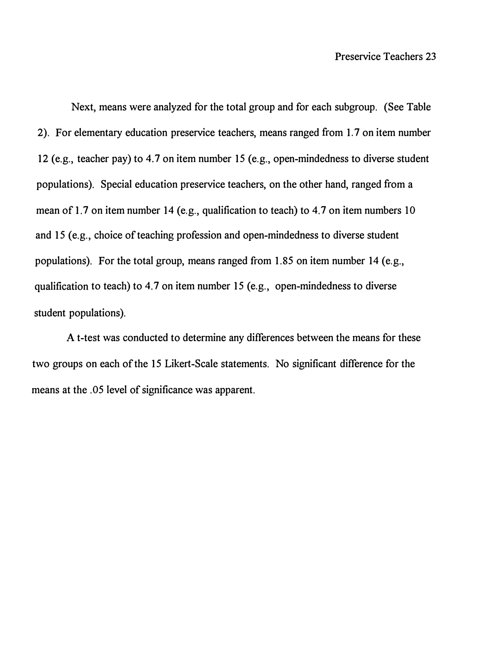Next, means were analyzed for the total group and for each subgroup. (See Table 2). For elementary education preservice teachers, means ranged from 1.7 on item number 12 (e.g., teacher pay) to 4.7 on item number 15 (e.g., open-mindedness to diverse student populations). Special education preservice teachers, on the other hand, ranged from a mean of 1.7 on item number 14 (e.g., qualification to teach) to 4.7 on item numbers IO and 15 (e.g., choice of teaching profession and open-mindedness to diverse student populations). For the total group, means ranged from 1.85 on item number 14 (e.g., qualification to teach) to  $4.7$  on item number 15 (e.g., open-mindedness to diverse student populations).

A t-test was conducted to determine any differences between the means for these two groups on each of the 15 Likert-Scale statements. No significant difference for the means at the .05 level of significance was apparent.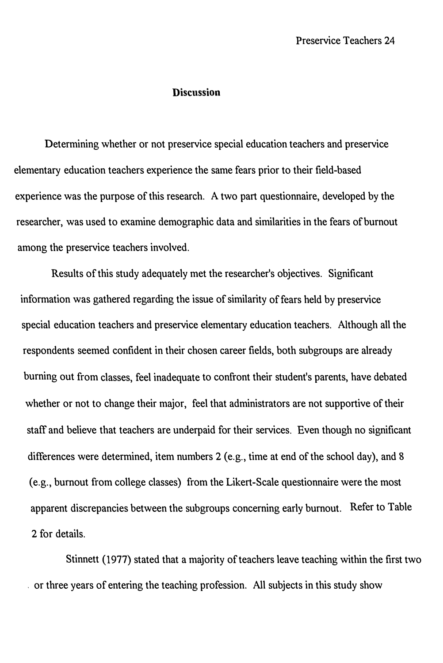#### **Discussion**

Determining whether or not preservice special education teachers and preservice elementary education teachers experience the same fears prior to their field-based experience was the purpose of this research. A two part questionnaire, developed by the researcher, was used to examine demographic data and similarities in the fears of burnout among the preservice teachers involved.

Results of this study adequately met the researcher's objectives. Significant information was gathered regarding the issue of similarity of fears held by preservice special education teachers and preservice elementary education teachers. Although all the respondents seemed confident in their chosen career fields, both subgroups are already burning out from classes, feel inadequate to confront their student's parents, have debated whether or not to change their major, feel that administrators are not supportive of their staff and believe that teachers are underpaid for their services. Even though no significant differences were determined, item numbers 2 (e.g., time at end of the school day), and 8 (e.g., burnout from college classes) from the Likert-Scale questionnaire were the most apparent discrepancies between the subgroups concerning early burnout. Refer to Table 2 for details.

Stinnett (1977) stated that a majority of teachers leave teaching within the first two . or three years of entering the teaching profession. All subjects in this study show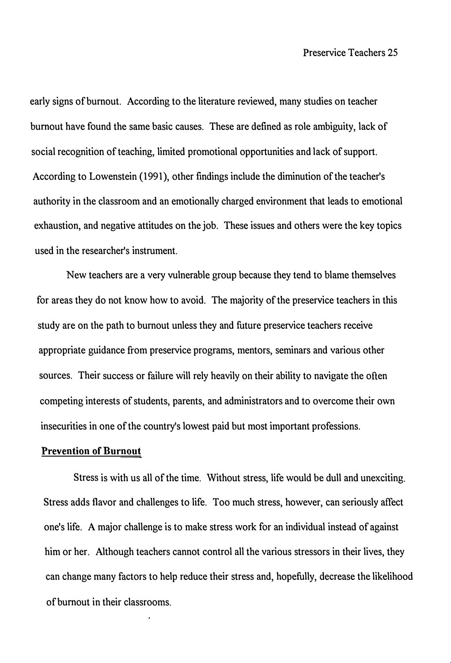early signs of burnout. According to the literature reviewed, many studies on teacher burnout have found the same basic causes. These are defined as role ambiguity, lack of social recognition of teaching, limited promotional opportunities and lack of support. According to Lowenstein (1991), other findings include the diminution of the teacher's authority in the classroom and an emotionally charged environment that leads to emotional exhaustion, and negative attitudes on the job. These issues and others were the key topics used in the researcher's instrument.

New teachers are a very vulnerable group because they tend to blame themselves for areas they do not know how to avoid. The majority of the preservice teachers in this study are on the path to burnout unless they and future preservice teachers receive appropriate guidance from preservice programs, mentors, seminars and various other sources. Their success or failure will rely heavily on their ability to navigate the often competing interests of students, parents, and administrators and to overcome their own insecurities in one of the country's lowest paid but most important professions.

#### **Prevention of Burnout**

Stress is with us all of the time. Without stress, life would be dull and unexciting. Stress adds flavor and challenges to life. Too much stress, however, can seriously affect one's life. A major challenge is to make stress work for an individual instead of against him or her. Although teachers cannot control all the various stressors in their lives, they can change many factors to help reduce their stress and, hopefully, decrease the likelihood of burnout in their classrooms.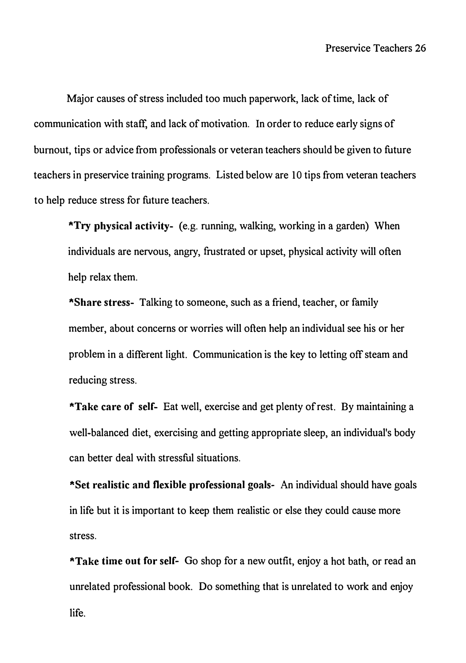Major causes of stress included too much paperwork, lack of time, lack of communication with staff, and lack of motivation. In order to reduce early signs of burnout, tips or advice from professionals or veteran teachers should be given to future teachers in preservice training programs. Listed below are 10 tips from veteran teachers to help reduce stress for future teachers.

**\*Try physical activity-** (e.g. running, walking, working in a garden) When individuals are nervous, angry, frustrated or upset, physical activity will often help relax them.

**\*Share stress-** Talking to someone, such as a friend, teacher, or family member, about concerns or worries will often help an individual see his or her problem in a different light. Communication is the key to letting off steam and reducing stress.

**\*Take care of self-** Eat well, exercise and get plenty of rest. By maintaining a well-balanced diet, exercising and getting appropriate sleep, an individual's body can better deal with stressful situations.

**\*Set realistic and flexible professional goals-** An individual should have goals in life but it is important to keep them realistic or else they could cause more stress.

**\*Take time out for self-** Go shop for a new outfit, enjoy a hot bath, or read an unrelated professional book. Do something that is unrelated to work and enjoy life.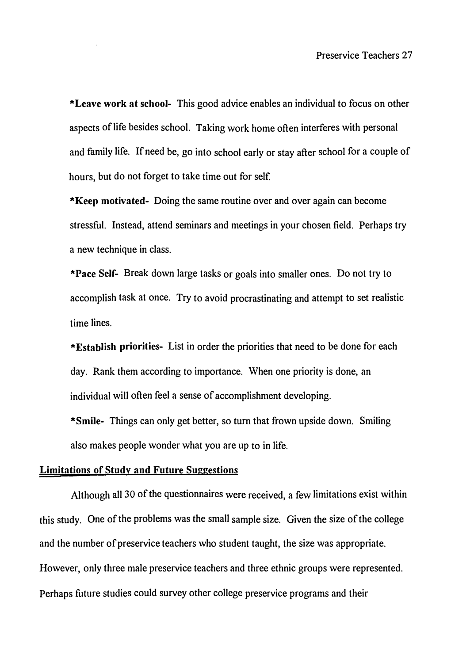**\*Leave work at school-** This good advice enables an individual to focus on other aspects of life besides school. Taking work home often interferes with personal and family life. If need be, go into school early or stay after school for a couple of hours, but do not forget to take time out for self.

**\*Keep motivated-** Doing the same routine over and over again can become stressful. Instead, attend seminars and meetings in your chosen field. Perhaps try a new technique in class.

**\*Pace Self-** Break down large tasks or goals into smaller ones. Do not try to accomplish task at once. Try to avoid procrastinating and attempt to set realistic time lines.

**\*Establish priorities-** List in order the priorities that need to be done for each day. Rank them according to importance. When one priority is done, an individual will often feel a sense of accomplishment developing.

**\*Smile-** Things can only get better, so tum that frown upside down. Smiling also makes people wonder what you are up to in life.

#### **Limitations of Study and Future Suggestions**

Although all 30 of the questionnaires were received, a few limitations exist within this study. One of the problems was the small sample size. Given the size of the college and the number of preservice teachers who student taught, the size was appropriate. However, only three male preservice teachers and three ethnic groups were represented. Perhaps future studies could survey other college preservice programs and their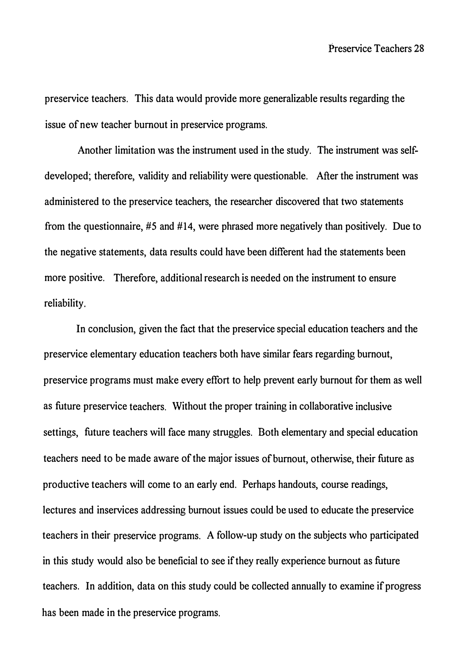preservice teachers. This data would provide more generalizable results regarding the issue of new teacher burnout in preservice programs.

Another limitation was the instrument used in the study. The instrument was selfdeveloped; therefore, validity and reliability were questionable. After the instrument was administered to the preservice teachers, the researcher discovered that two statements from the questionnaire, #5 and #14, were phrased more negatively than positively. Due to the negative statements, data results could have been different had the statements been more positive. Therefore, additional research is needed on the instrument to ensure reliability.

In conclusion, given the fact that the preservice special education teachers and the preservice elementary education teachers both have similar fears regarding burnout, preservice programs must make every effort to help prevent early burnout for them as well as future preservice teachers. Without the proper training in collaborative inclusive settings, future teachers will face many struggles. Both elementary and special education teachers need to be made aware of the major issues of burnout, otherwise, their future as productive teachers will come to an early end. Perhaps handouts, course readings, lectures and inservices addressing burnout issues could be used to educate the preservice teachers in their preservice programs. A follow-up study on the subjects who participated in this study would also be beneficial to see if they really experience burnout as future teachers. In addition, data on this study could be collected annually to examine if progress has been made in the preservice programs.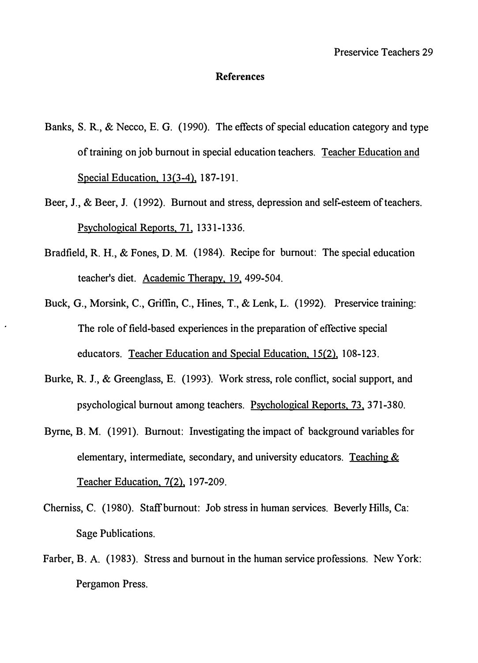#### **References**

- Banks, S. R., & Necco, E.G. (1990). The effects of special education category and type of training on job burnout in special education teachers. Teacher Education and Special Education, 13(3-4), 187-191.
- Beer, J., & Beer, J. (1992). Burnout and stress, depression and self-esteem of teachers. Psychological Reports, 71, 1331-1336.
- Bradfield, R.H., & Fones, D. M. (1984). Recipe for burnout: The special education teacher's diet. Academic Therapy, 19, 499-504.
- Buck, G., Morsink, C., Griffin, C., Hines, T., & Lenk, L. (1992). Preservice training: The role of field-based experiences in the preparation of effective special educators. Teacher Education and Special Education, 15(2). 108-123.
- Burke, R. J., & Greenglass, E. (1993). Work stress, role conflict, social support, and psychological burnout among teachers. Psychological Reports, 73, 371-380.
- Byrne, B. M. (1991). Burnout: Investigating the impact of background variables for elementary, intermediate, secondary, and university educators. Teaching & Teacher Education, 7(2), 197-209.
- Cherniss, C. (1980). Staff burnout: Job stress in human services. Beverly Hills, Ca: Sage Publications.
- Farber, B. A. (1983). Stress and burnout in the human service professions. New York: Pergamon Press.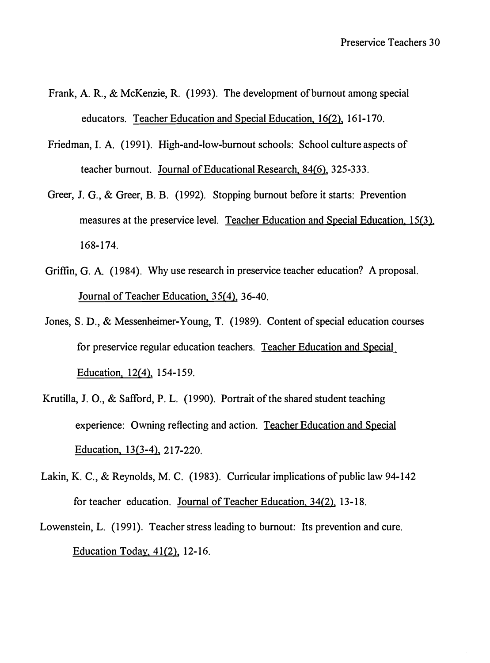- Frank, **A.** R., & McKenzie, R. (1993). The development of burnout among special educators. Teacher Education and Special Education, 16(2), 161-170.
- Friedman, I. **A.** (1991). High-and-low-burnout schools: School culture aspects of teacher burnout. Journal of Educational Research, 84(6). 325-333.
- Greer, J. G., & Greer, B. B. (1992). Stopping burnout before it starts: Prevention measures at the preservice level. Teacher Education and Special Education, 15(3). 168-174.
- Griffin, G. **A.** (1984). Why use research in preservice teacher education? A proposal. Journal of Teacher Education, 35(4), 36-40.
- Jones, S. D., & Messenheimer-Young, T. (1989). Content of special education courses for preservice regular education teachers. Teacher Education and Special Education, 12(4). 154-159.
- Krutilla, J. 0., & Safford, P. L. (1990). Portrait of the shared student teaching experience: Owning reflecting and action. Teacher Education and Special Education, 13(3-4), 217-220.
- Lakin, K. C., & Reynolds, M. C. (1983). Curricular implications of public law 94-142 for teacher education. Journal of Teacher Education, 34(2). 13-18.
- Lowenstein, L. (1991). Teacher stress leading to burnout: Its prevention and cure. Education Today, 41(2), 12-16.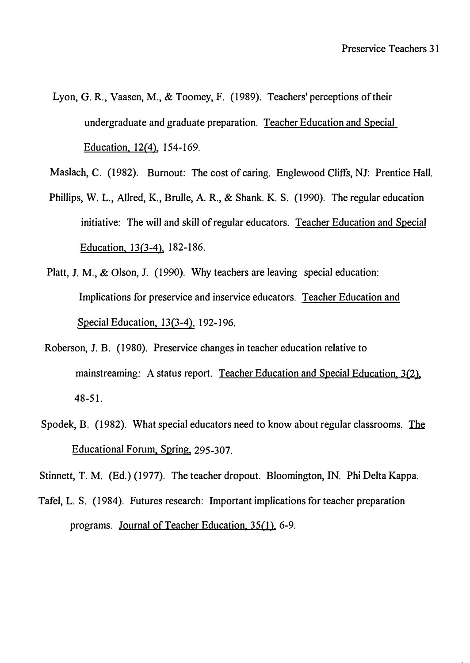Lyon, G. R., Vaasen, M., & Toomey, F. (1989). Teachers' perceptions of their undergraduate and graduate preparation. Teacher Education and Special Education. 12(4), 154-169.

Maslach, C. (1982). Burnout: The cost of caring. Englewood Cliffs, NJ: Prentice Hall.

- Phillips, W. L., Allred, K., Brulle, AR., & Shank. K. S. (1990). The regular education initiative: The will and skill ofregular educators. Teacher Education and Special Education. 13(3-4). 182-186.
- Platt, J. M., & Olson, J. (1990). Why teachers are leaving special education: Implications for preservice and inservice educators. Teacher Education and Special Education. 13(3-4). 192-196.
- Roberson, J. B. (1980). Preservice changes in teacher education relative to mainstreaming: A status report. Teacher Education and Special Education. 3(2), 48-51.
- Spodek, B. (1982). What special educators need to know about regular classrooms. The Educational Forum, Spring, 295-307.

Stinnett, T. M. (Ed.) (1977). The teacher dropout. Bloomington, IN. Phi Delta Kappa.

Tafel, L. S. (1984). Futures research: Important implications for teacher preparation programs. Journal of Teacher Education, 35(1). 6-9.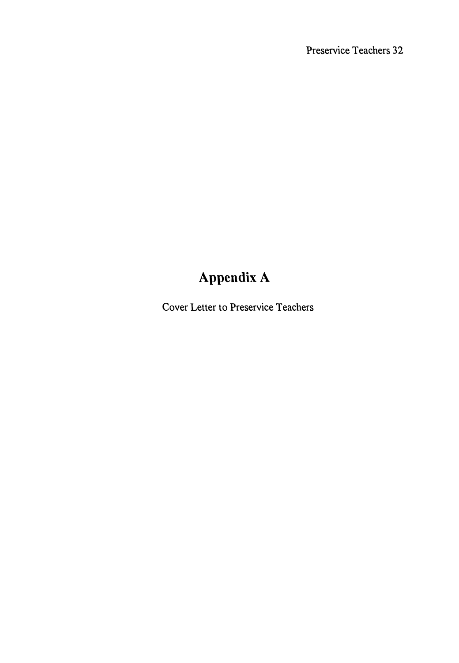# **Appendix A**

Cover Letter to Preservice Teachers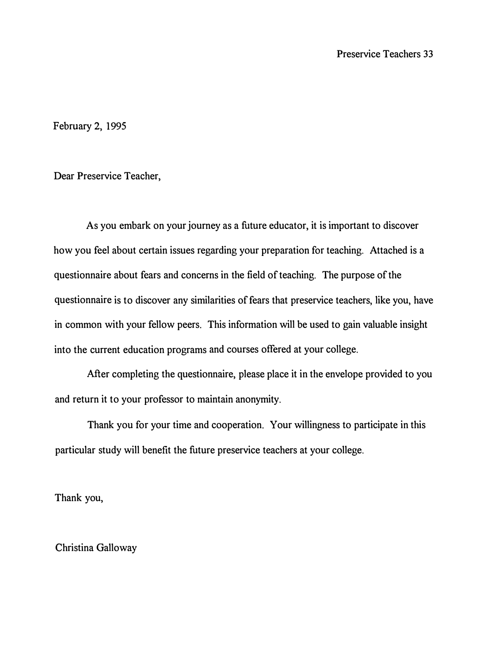February 2, 1995

Dear Preservice Teacher,

As you embark on your journey as a future educator, it is important to discover how you feel about certain issues regarding your preparation for teaching. Attached is a questionnaire about fears and concerns in the field of teaching. The purpose of the questionnaire is to discover any similarities of fears that preservice teachers, like you, have in common with your fellow peers. This information will be used to gain valuable insight into the current education programs and courses offered at your college.

After completing the questionnaire, please place it in the envelope provided to you and return it to your professor to maintain anonymity.

Thank you for your time and cooperation. Your willingness to participate in this particular study will benefit the future preservice teachers at your college.

Thank you,

Christina Galloway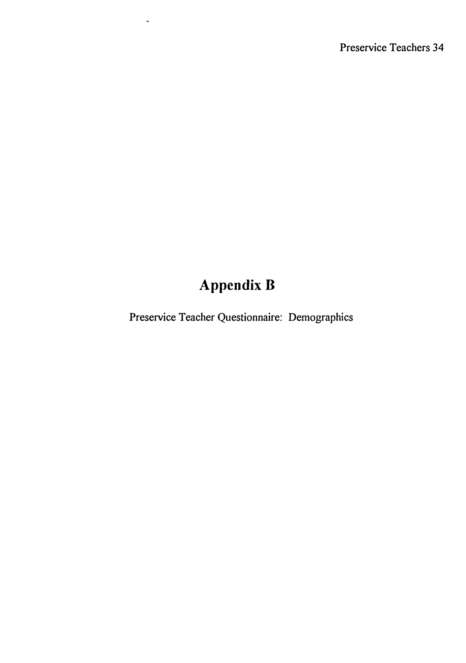# **Appendix B**

 $\alpha$ 

Preservice Teacher Questionnaire: Demographics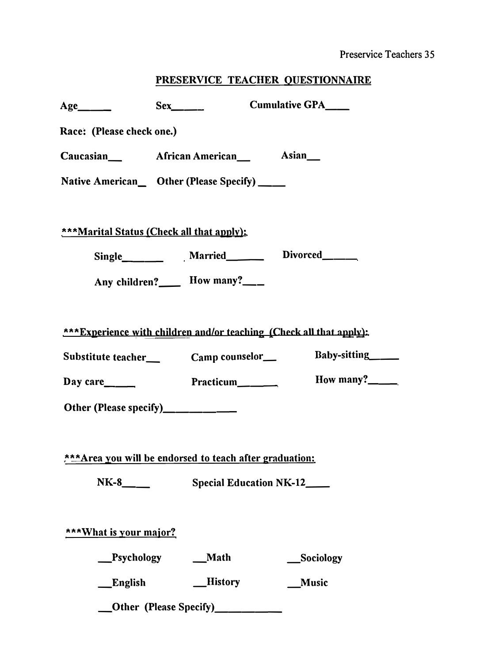## **PRESERVICE TEACHER QUESTIONNAIRE**

| Age                                                     |                                           | Cumulative GPA___                                                   |  |
|---------------------------------------------------------|-------------------------------------------|---------------------------------------------------------------------|--|
| Race: (Please check one.)                               |                                           |                                                                     |  |
| Caucasian African American Asian                        |                                           |                                                                     |  |
| Native American Other (Please Specify) ___              |                                           |                                                                     |  |
|                                                         |                                           |                                                                     |  |
|                                                         | ***Marital Status (Check all that apply): |                                                                     |  |
|                                                         |                                           | Single<br><u>Married</u> Divorced<br><u>Divorced</u>                |  |
|                                                         | Any children? How many?                   |                                                                     |  |
|                                                         |                                           |                                                                     |  |
|                                                         |                                           | ***Experience with children and/or teaching (Check all that apply): |  |
|                                                         |                                           |                                                                     |  |
|                                                         |                                           | How many?____                                                       |  |
|                                                         | Other (Please specify)_________           |                                                                     |  |
|                                                         |                                           |                                                                     |  |
| ***Area you will be endorsed to teach after graduation: |                                           |                                                                     |  |
|                                                         |                                           |                                                                     |  |
| $NK-8$                                                  |                                           | <b>Special Education NK-12____</b>                                  |  |
|                                                         |                                           |                                                                     |  |
| ***What is your major?                                  |                                           |                                                                     |  |
| Psychology                                              | Math                                      | Sociology                                                           |  |

**\_\_Other (Please Specify)\_\_\_\_\_\_\_\_\_\_**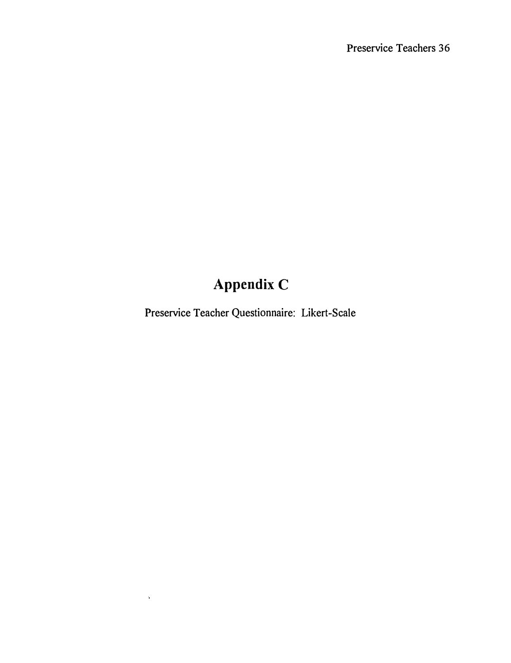# **Appendix C**

Preservice Teacher Questionnaire: Likert-Scale

 $\mathcal{A}^{\text{max}}_{\text{max}}$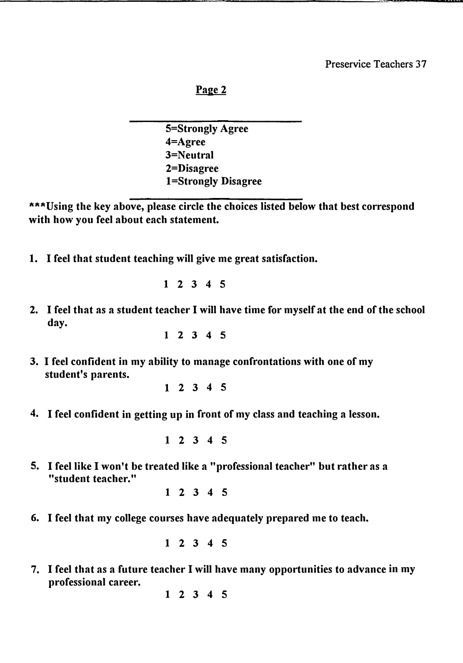#### Preservice Teachers 37

**Page 2** 

**S=Strongly Agree 4=Agree 3=Neutral 2=Disagree 1 =Strongly Disagree** 

**\*\*\*Using the key above, please circle the choices listed below that best correspond with how you feel about each statement.** 

**1. I feel that student teaching will give me great satisfaction.**

1 2 3 4 5

**2. I feel that as a student teacher I will have time for myself at the end of the school day.**

1 2 3 4 5

**3. I feel confident in my ability to manage confrontations with one of my student's parents.**

1 2 3 4 5

**4. I feel confident in getting up in front of my class and teaching a lesson.**

1 2 3 4 5

**5. I feel like I won't be treated like a "professional teacher" but rather as a "student teacher."**

1 2 3 4 5

**6. I feel that my college courses have adequately prepared me to teach.**

1 2 3 4 5

**7. I feel that as a future teacher I will have many opportunities to advance in my professional career.**

1 2 3 4 5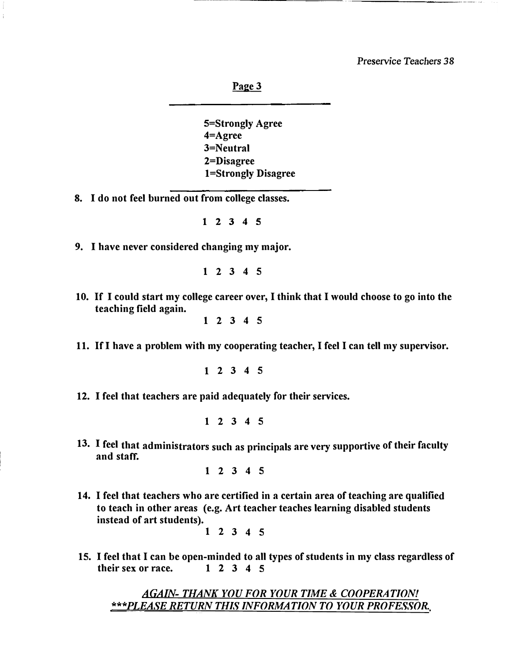**Preservice Teachers** *38*

**Page 3** 

**S=Strongly Agree 4=Agree 3=Neutral 2=Disagree 1 =Strongly Disagree** 

**8. I do not feel burned out from college classes.**

1 2 3 4 5

**9. I have never considered changing my major.**

1 2 3 4 5

**10. If I could start my college career over, I think that I would choose to go into the teaching field again.**

1 2 3 4 5

**11. If I have a problem with my cooperating teacher, I feel I can tell my supervisor.**

1 2 3 4 5

**12. I feel that teachers are paid adequately for their services.**

1 2 3 4 5

**13. I feel that administrators such as principals are very supportive of their faculty and staff.**

1 2 3 4 5

**14. I feel that teachers who are certified in a certain area of teaching are qualified to teach in other areas (e.g. Art teacher teaches learning disabled students instead of art students).**

1 2 3 4 5

**15. I feel that I can be open-minded to all types of students in my class regardless of their sex or race. 1 2 3 4 5** 

*AGAIN- THANK YOU FOR YOUR TIME* & *COOPERATION! \*\*\*PLEASE RETURN THIS INFORMATION TO YOUR PROFESSOR.*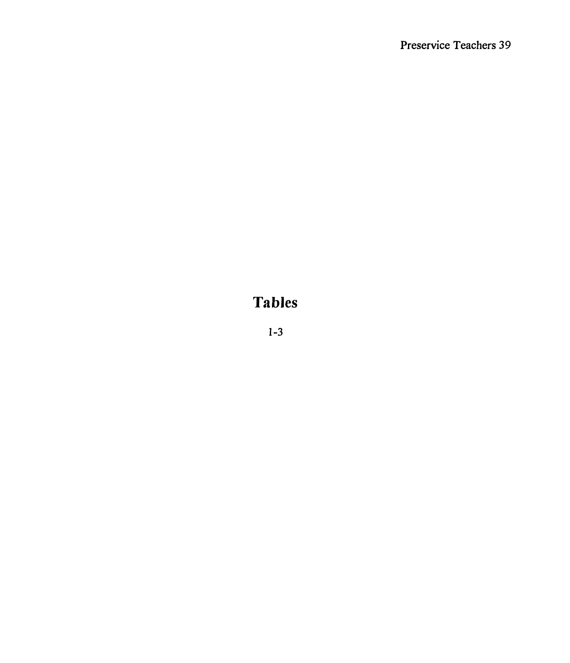# **Tables**

1-3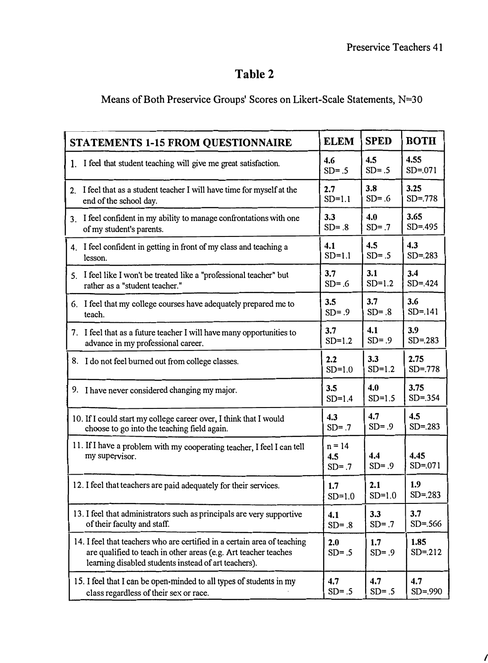*I* 

# **Table 2**

## Means of Both Preservice Groups' Scores on Likert-Scale Statements, N=30

| <b>STATEMENTS 1-15 FROM QUESTIONNAIRE</b>                                                                                                                                                           | <b>ELEM</b>                  | <b>SPED</b>      | <b>BOTH</b>        |
|-----------------------------------------------------------------------------------------------------------------------------------------------------------------------------------------------------|------------------------------|------------------|--------------------|
| 1. I feel that student teaching will give me great satisfaction.                                                                                                                                    | 4.6                          | 4.5              | 4.55               |
|                                                                                                                                                                                                     | $SD = .5$                    | $SD = .5$        | $SD = .071$        |
| 2. I feel that as a student teacher I will have time for myself at the                                                                                                                              | 2.7                          | 3.8              | 3.25               |
| end of the school day.                                                                                                                                                                              | $SD=1.1$                     | $SD = .6$        | $SD = 778$         |
| 3. I feel confident in my ability to manage confrontations with one                                                                                                                                 | 3.3                          | 4.0              | 3.65               |
| of my student's parents.                                                                                                                                                                            | $SD = .8$                    | $SD = .7$        | $SD = 495$         |
| 4. I feel confident in getting in front of my class and teaching a                                                                                                                                  | 4.1                          | 4.5              | 4.3                |
| lesson.                                                                                                                                                                                             | $SD=1.1$                     | $SD = .5$        | $SD = 283$         |
| 5. I feel like I won't be treated like a "professional teacher" but                                                                                                                                 | 3.7                          | 3.1              | 3.4                |
| rather as a "student teacher."                                                                                                                                                                      | $SD = .6$                    | $SD=1.2$         | $SD = 424$         |
| 6. I feel that my college courses have adequately prepared me to                                                                                                                                    | 3.5                          | 3.7              | 3.6                |
| teach.                                                                                                                                                                                              | $SD = .9$                    | $SD = .8$        | $SD = 141$         |
| 7. I feel that as a future teacher I will have many opportunities to                                                                                                                                | 3.7                          | 4.1              | 3.9                |
| advance in my professional career.                                                                                                                                                                  | $SD=1.2$                     | $SD = .9$        | $SD = 283$         |
| 8. I do not feel burned out from college classes.                                                                                                                                                   | 2.2                          | 3.3              | 2.75               |
|                                                                                                                                                                                                     | $SD=1.0$                     | $SD=1.2$         | $SD = .778$        |
| 9. I have never considered changing my major.                                                                                                                                                       | 3.5                          | 4.0              | 3.75               |
|                                                                                                                                                                                                     | $SD=1.4$                     | $SD=1.5$         | $SD = 354$         |
| 10. If I could start my college career over, I think that I would                                                                                                                                   | 4.3                          | 4.7              | 4.5                |
| choose to go into the teaching field again.                                                                                                                                                         | $SD = .7$                    | $SD = .9$        | $SD = 283$         |
| 11. If I have a problem with my cooperating teacher, I feel I can tell<br>my supervisor.                                                                                                            | $n = 14$<br>4.5<br>$SD = .7$ | 4.4<br>$SD = .9$ | 4.45<br>$SD = 071$ |
| 12. I feel that teachers are paid adequately for their services.                                                                                                                                    | 1.7                          | 2.1              | 1.9                |
|                                                                                                                                                                                                     | $SD=1.0$                     | $SD=1.0$         | $SD = 283$         |
| 13. I feel that administrators such as principals are very supportive                                                                                                                               | 4.1                          | 3.3              | 3.7                |
| of their faculty and staff.                                                                                                                                                                         | $SD = .8$                    | $SD = .7$        | $SD = 566$         |
| 14. I feel that teachers who are certified in a certain area of teaching<br>are qualified to teach in other areas (e.g. Art teacher teaches<br>learning disabled students instead of art teachers). | 2.0<br>$SD = .5$             | 1.7<br>$SD = .9$ | 1.85<br>$SD = 212$ |
| 15. I feel that I can be open-minded to all types of students in my                                                                                                                                 | 4,7                          | 4.7              | 4.7                |
| class regardless of their sex or race.                                                                                                                                                              | $SD = .5$                    | $SD = .5$        | $SD = .990$        |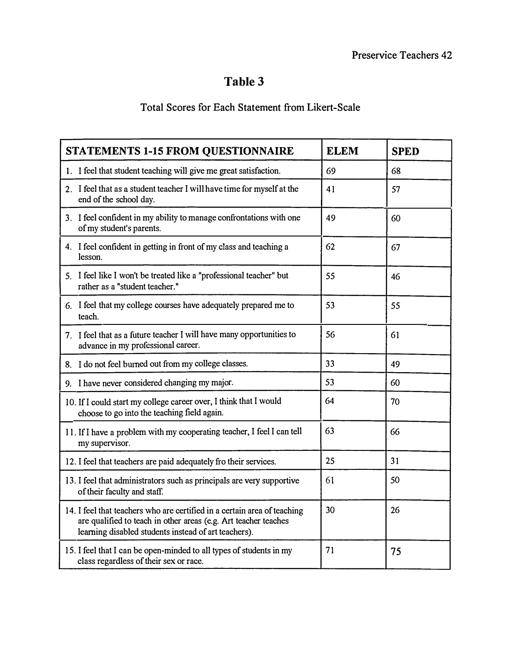## **Table 3**

## Total Scores for Each Statement from Likert-Scale

| <b>STATEMENTS 1-15 FROM QUESTIONNAIRE</b>                                                                                                                                                           | <b>ELEM</b> | <b>SPED</b> |
|-----------------------------------------------------------------------------------------------------------------------------------------------------------------------------------------------------|-------------|-------------|
| 1. I feel that student teaching will give me great satisfaction.                                                                                                                                    | 69          | 68          |
| 2. I feel that as a student teacher I will have time for myself at the<br>end of the school day.                                                                                                    | 41          | 57          |
| 3. I feel confident in my ability to manage confrontations with one<br>of my student's parents.                                                                                                     | 49          | 60          |
| 4. I feel confident in getting in front of my class and teaching a<br>lesson.                                                                                                                       | 62          | 67          |
| 5. I feel like I won't be treated like a "professional teacher" but<br>rather as a "student teacher."                                                                                               | 55          | 46          |
| 6. I feel that my college courses have adequately prepared me to<br>teach.                                                                                                                          | 53          | 55          |
| 7. I feel that as a future teacher I will have many opportunities to<br>advance in my professional career.                                                                                          | 56          | 61          |
| 8. I do not feel burned out from my college classes.                                                                                                                                                | 33          | 49          |
| 9. I have never considered changing my major.                                                                                                                                                       | 53          | 60          |
| 10. If I could start my college career over, I think that I would<br>choose to go into the teaching field again.                                                                                    | 64          | 70          |
| 11. If I have a problem with my cooperating teacher, I feel I can tell<br>my supervisor.                                                                                                            | 63          | 66          |
| 12. I feel that teachers are paid adequately fro their services.                                                                                                                                    | 25          | 31          |
| 13. I feel that administrators such as principals are very supportive<br>of their faculty and staff.                                                                                                | 61          | 50          |
| 14. I feel that teachers who are certified in a certain area of teaching<br>are qualified to teach in other areas (e.g. Art teacher teaches<br>learning disabled students instead of art teachers). | 30          | 26          |
| 15. I feel that I can be open-minded to all types of students in my<br>class regardless of their sex or race.                                                                                       | 71          | 75          |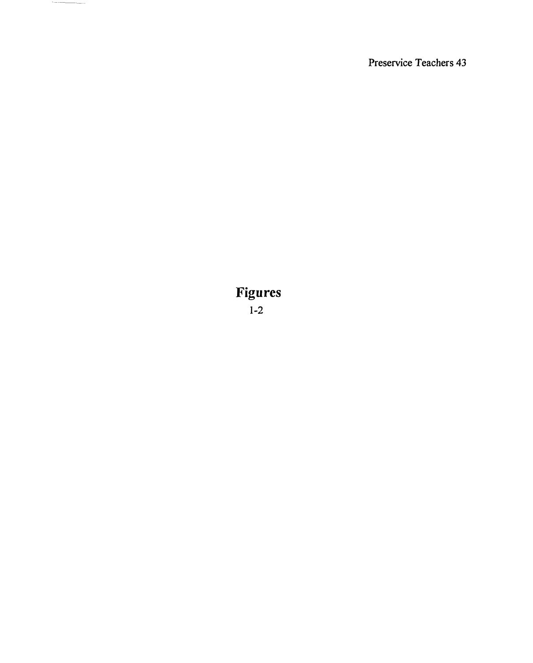Preservice Teachers 43

**Figures**  1-2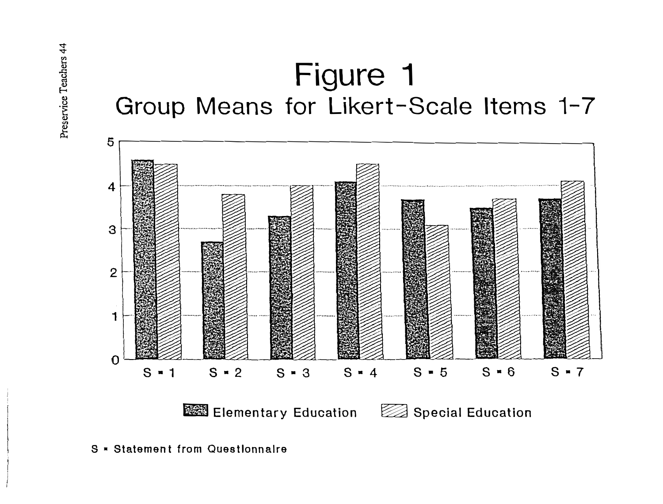# Figure 1 Group Means for Likert-Scale Items 1-7